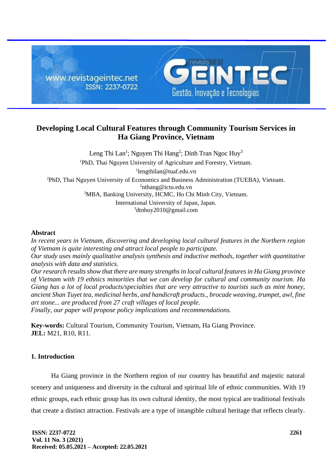

# **Developing Local Cultural Features through Community Tourism Services in Ha Giang Province, Vietnam**

Leng Thi Lan<sup>1</sup>; Nguyen Thi Hang<sup>2</sup>; Dinh Tran Ngoc Huy<sup>3</sup> PhD, Thai Nguyen University of Agriculture and Forestry, Vietnam. lengthilan@tuaf.edu.vn PhD, Thai Nguyen University of Economics and Business Administration (TUEBA), Vietnam. [nthang@ictu.edu.vn](mailto:nthang@ictu.edu.vn) MBA, Banking University, HCMC, Ho Chi Minh City, Vietnam. International University of Japan, Japan. [dtnhuy2010@gmail.com](mailto:dtnhuy2010@gmail.com)

# **Abstract**

*In recent years in Vietnam, discovering and developing local cultural features in the Northern region of Vietnam is quite interesting and attract local people to participate. Our study uses mainly qualitative analysis synthesis and inductive methods, together with quantitative analysis with data and statistics. Our research results show that there are many strengths in local cultural features in Ha Giang province of Vietnam with 19 ethnics minorities that we can develop for cultural and community tourism. Ha*

*Giang has a lot of local products/specialties that are very attractive to tourists such as mint honey, ancient Shan Tuyet tea, medicinal herbs, and handicraft products., brocade weaving, trumpet, awl, fine art stone... are produced from 27 craft villages of local people.* 

*Finally, our paper will propose policy implications and recommendations.*

**Key-words:** Cultural Tourism, Community Tourism, Vietnam, Ha Giang Province. **JEL:** M21, R10, R11.

# **1. Introduction**

Ha Giang province in the Northern region of our country has beautiful and majestic natural scenery and uniqueness and diversity in the cultural and spiritual life of ethnic communities. With 19 ethnic groups, each ethnic group has its own cultural identity, the most typical are traditional festivals that create a distinct attraction. Festivals are a type of intangible cultural heritage that reflects clearly.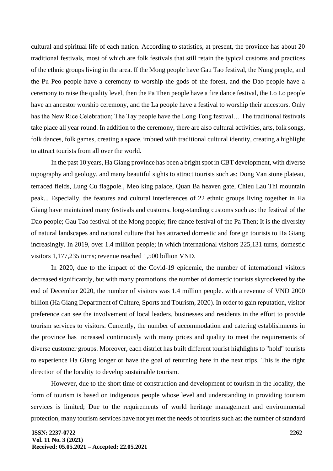cultural and spiritual life of each nation. According to statistics, at present, the province has about 20 traditional festivals, most of which are folk festivals that still retain the typical customs and practices of the ethnic groups living in the area. If the Mong people have Gau Tao festival, the Nung people, and the Pu Peo people have a ceremony to worship the gods of the forest, and the Dao people have a ceremony to raise the quality level, then the Pa Then people have a fire dance festival, the Lo Lo people have an ancestor worship ceremony, and the La people have a festival to worship their ancestors. Only has the New Rice Celebration; The Tay people have the Long Tong festival… The traditional festivals take place all year round. In addition to the ceremony, there are also cultural activities, arts, folk songs, folk dances, folk games, creating a space. imbued with traditional cultural identity, creating a highlight to attract tourists from all over the world.

In the past 10 years, Ha Giang province has been a bright spot in CBT development, with diverse topography and geology, and many beautiful sights to attract tourists such as: Dong Van stone plateau, terraced fields, Lung Cu flagpole., Meo king palace, Quan Ba heaven gate, Chieu Lau Thi mountain peak... Especially, the features and cultural interferences of 22 ethnic groups living together in Ha Giang have maintained many festivals and customs. long-standing customs such as: the festival of the Dao people; Gau Tao festival of the Mong people; fire dance festival of the Pa Then; It is the diversity of natural landscapes and national culture that has attracted domestic and foreign tourists to Ha Giang increasingly. In 2019, over 1.4 million people; in which international visitors 225,131 turns, domestic visitors 1,177,235 turns; revenue reached 1,500 billion VND.

In 2020, due to the impact of the Covid-19 epidemic, the number of international visitors decreased significantly, but with many promotions, the number of domestic tourists skyrocketed by the end of December 2020, the number of visitors was 1.4 million people. with a revenue of VND 2000 billion (Ha Giang Department of Culture, Sports and Tourism, 2020). In order to gain reputation, visitor preference can see the involvement of local leaders, businesses and residents in the effort to provide tourism services to visitors. Currently, the number of accommodation and catering establishments in the province has increased continuously with many prices and quality to meet the requirements of diverse customer groups. Moreover, each district has built different tourist highlights to "hold" tourists to experience Ha Giang longer or have the goal of returning here in the next trips. This is the right direction of the locality to develop sustainable tourism.

However, due to the short time of construction and development of tourism in the locality, the form of tourism is based on indigenous people whose level and understanding in providing tourism services is limited; Due to the requirements of world heritage management and environmental protection, many tourism services have not yet met the needs of tourists such as: the number of standard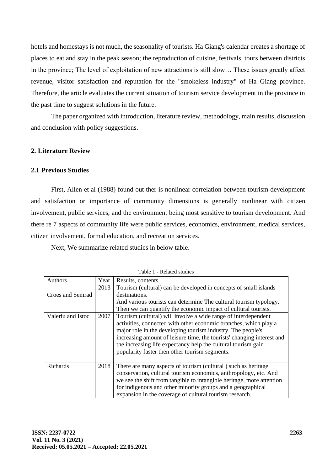hotels and homestays is not much, the seasonality of tourists. Ha Giang's calendar creates a shortage of places to eat and stay in the peak season; the reproduction of cuisine, festivals, tours between districts in the province; The level of exploitation of new attractions is still slow… These issues greatly affect revenue, visitor satisfaction and reputation for the "smokeless industry" of Ha Giang province. Therefore, the article evaluates the current situation of tourism service development in the province in the past time to suggest solutions in the future.

The paper organized with introduction, literature review, methodology, main results, discussion and conclusion with policy suggestions.

## **2. Literature Review**

### **2.1 Previous Studies**

First, Allen et al (1988) found out ther is nonlinear correlation between tourism development and satisfaction or importance of community dimensions is generally nonlinear with citizen involvement, public services, and the environment being most sensitive to tourism development. And there re 7 aspects of community life were public services, economics, environment, medical services, citizen involvement, formal education, and recreation services.

Next, We summarize related studies in below table.

| <b>Authors</b>    | Year | Results, contents                                                      |  |  |  |  |  |
|-------------------|------|------------------------------------------------------------------------|--|--|--|--|--|
|                   | 2013 | Tourism (cultural) can be developed in concepts of small islands       |  |  |  |  |  |
| Croes and Semrad  |      | destinations.                                                          |  |  |  |  |  |
|                   |      | And various tourists can determine The cultural tourism typology.      |  |  |  |  |  |
|                   |      | Then we can quantify the economic impact of cultural tourists.         |  |  |  |  |  |
| Valeriu and Istoc | 2007 | Tourism (cultural) will involve a wide range of interdependent         |  |  |  |  |  |
|                   |      | activities, connected with other economic branches, which play a       |  |  |  |  |  |
|                   |      | major role in the developing tourism industry. The people's            |  |  |  |  |  |
|                   |      | increasing amount of leisure time, the tourists' changing interest and |  |  |  |  |  |
|                   |      | the increasing life expectancy help the cultural tourism gain          |  |  |  |  |  |
|                   |      | popularity faster then other tourism segments.                         |  |  |  |  |  |
|                   |      |                                                                        |  |  |  |  |  |
| <b>Richards</b>   | 2018 | There are many aspects of tourism (cultural) such as heritage          |  |  |  |  |  |
|                   |      | conservation, cultural tourism economics, anthropology, etc. And       |  |  |  |  |  |
|                   |      | we see the shift from tangible to intangible heritage, more attention  |  |  |  |  |  |
|                   |      | for indigenous and other minority groups and a geographical            |  |  |  |  |  |
|                   |      | expansion in the coverage of cultural tourism research.                |  |  |  |  |  |

Table 1 - Related studies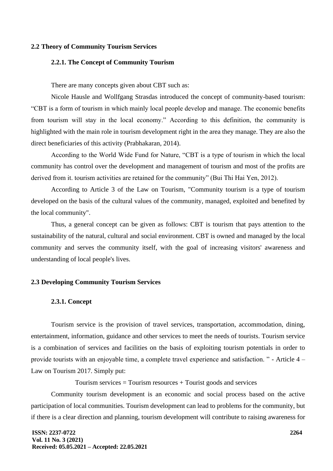#### **2.2 Theory of Community Tourism Services**

## **2.2.1. The Concept of Community Tourism**

There are many concepts given about CBT such as:

Nicole Hausle and Wollfgang Strasdas introduced the concept of community-based tourism: "CBT is a form of tourism in which mainly local people develop and manage. The economic benefits from tourism will stay in the local economy." According to this definition, the community is highlighted with the main role in tourism development right in the area they manage. They are also the direct beneficiaries of this activity (Prabhakaran, 2014).

According to the World Wide Fund for Nature, "CBT is a type of tourism in which the local community has control over the development and management of tourism and most of the profits are derived from it. tourism activities are retained for the community" (Bui Thi Hai Yen, 2012).

According to Article 3 of the Law on Tourism, "Community tourism is a type of tourism developed on the basis of the cultural values of the community, managed, exploited and benefited by the local community".

Thus, a general concept can be given as follows: CBT is tourism that pays attention to the sustainability of the natural, cultural and social environment. CBT is owned and managed by the local community and serves the community itself, with the goal of increasing visitors' awareness and understanding of local people's lives.

### **2.3 Developing Community Tourism Services**

#### **2.3.1. Concept**

Tourism service is the provision of travel services, transportation, accommodation, dining, entertainment, information, guidance and other services to meet the needs of tourists. Tourism service is a combination of services and facilities on the basis of exploiting tourism potentials in order to provide tourists with an enjoyable time, a complete travel experience and satisfaction. " - Article 4 – Law on Tourism 2017. Simply put:

Tourism services  $=$  Tourism resources  $+$  Tourist goods and services

Community tourism development is an economic and social process based on the active participation of local communities. Tourism development can lead to problems for the community, but if there is a clear direction and planning, tourism development will contribute to raising awareness for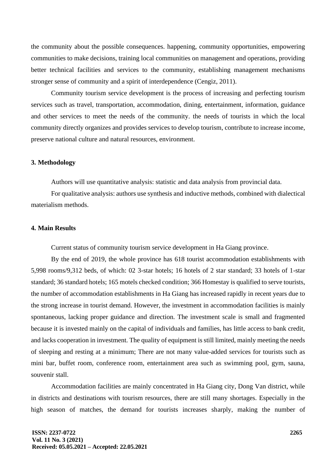the community about the possible consequences. happening, community opportunities, empowering communities to make decisions, training local communities on management and operations, providing better technical facilities and services to the community, establishing management mechanisms stronger sense of community and a spirit of interdependence (Cengiz, 2011).

Community tourism service development is the process of increasing and perfecting tourism services such as travel, transportation, accommodation, dining, entertainment, information, guidance and other services to meet the needs of the community. the needs of tourists in which the local community directly organizes and provides services to develop tourism, contribute to increase income, preserve national culture and natural resources, environment.

### **3. Methodology**

Authors will use quantitative analysis: statistic and data analysis from provincial data.

For qualitative analysis: authors use synthesis and inductive methods, combined with dialectical materialism methods.

### **4. Main Results**

Current status of community tourism service development in Ha Giang province.

By the end of 2019, the whole province has 618 tourist accommodation establishments with 5,998 rooms/9,312 beds, of which: 02 3-star hotels; 16 hotels of 2 star standard; 33 hotels of 1-star standard; 36 standard hotels; 165 motels checked condition; 366 Homestay is qualified to serve tourists, the number of accommodation establishments in Ha Giang has increased rapidly in recent years due to the strong increase in tourist demand. However, the investment in accommodation facilities is mainly spontaneous, lacking proper guidance and direction. The investment scale is small and fragmented because it is invested mainly on the capital of individuals and families, has little access to bank credit, and lacks cooperation in investment. The quality of equipment is still limited, mainly meeting the needs of sleeping and resting at a minimum; There are not many value-added services for tourists such as mini bar, buffet room, conference room, entertainment area such as swimming pool, gym, sauna, souvenir stall.

Accommodation facilities are mainly concentrated in Ha Giang city, Dong Van district, while in districts and destinations with tourism resources, there are still many shortages. Especially in the high season of matches, the demand for tourists increases sharply, making the number of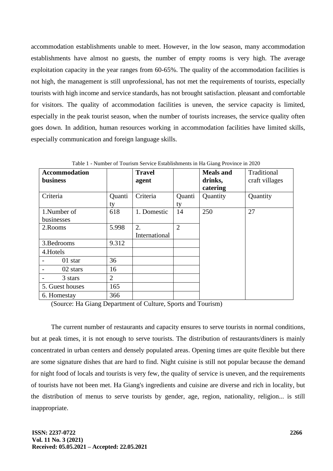accommodation establishments unable to meet. However, in the low season, many accommodation establishments have almost no guests, the number of empty rooms is very high. The average exploitation capacity in the year ranges from 60-65%. The quality of the accommodation facilities is not high, the management is still unprofessional, has not met the requirements of tourists, especially tourists with high income and service standards, has not brought satisfaction. pleasant and comfortable for visitors. The quality of accommodation facilities is uneven, the service capacity is limited, especially in the peak tourist season, when the number of tourists increases, the service quality often goes down. In addition, human resources working in accommodation facilities have limited skills, especially communication and foreign language skills.

| <b>Accommodation</b>   |                | <b>Travel</b> |                | <b>Meals</b> and | Traditional    |
|------------------------|----------------|---------------|----------------|------------------|----------------|
| <b>business</b>        |                | agent         |                | drinks,          | craft villages |
|                        |                |               |                | catering         |                |
| Criteria               | Quanti         | Criteria      | Quanti         | Quantity         | Quantity       |
|                        | ty             |               | ty             |                  |                |
| 1.Number of            | 618            | 1. Domestic   | 14             | 250              | 27             |
| businesses             |                |               |                |                  |                |
| 2. Rooms               | 5.998          | 2.            | $\overline{2}$ |                  |                |
|                        |                | International |                |                  |                |
| 3. Bedrooms            | 9.312          |               |                |                  |                |
| 4.Hotels               |                |               |                |                  |                |
| 01 star                | 36             |               |                |                  |                |
| 02 stars               | 16             |               |                |                  |                |
| 3 stars                | $\overline{2}$ |               |                |                  |                |
| 165<br>5. Guest houses |                |               |                |                  |                |
| 6. Homestay            | 366            |               |                |                  |                |

Table 1 - Number of Tourism Service Establishments in Ha Giang Province in 2020

(Source: Ha Giang Department of Culture, Sports and Tourism)

The current number of restaurants and capacity ensures to serve tourists in normal conditions, but at peak times, it is not enough to serve tourists. The distribution of restaurants/diners is mainly concentrated in urban centers and densely populated areas. Opening times are quite flexible but there are some signature dishes that are hard to find. Night cuisine is still not popular because the demand for night food of locals and tourists is very few, the quality of service is uneven, and the requirements of tourists have not been met. Ha Giang's ingredients and cuisine are diverse and rich in locality, but the distribution of menus to serve tourists by gender, age, region, nationality, religion... is still inappropriate.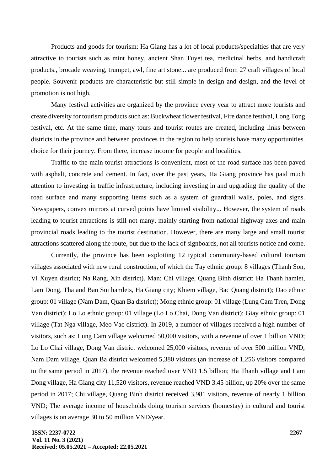Products and goods for tourism: Ha Giang has a lot of local products/specialties that are very attractive to tourists such as mint honey, ancient Shan Tuyet tea, medicinal herbs, and handicraft products., brocade weaving, trumpet, awl, fine art stone... are produced from 27 craft villages of local people. Souvenir products are characteristic but still simple in design and design, and the level of promotion is not high.

Many festival activities are organized by the province every year to attract more tourists and create diversity for tourism products such as: Buckwheat flower festival, Fire dance festival, Long Tong festival, etc. At the same time, many tours and tourist routes are created, including links between districts in the province and between provinces in the region to help tourists have many opportunities. choice for their journey. From there, increase income for people and localities.

Traffic to the main tourist attractions is convenient, most of the road surface has been paved with asphalt, concrete and cement. In fact, over the past years, Ha Giang province has paid much attention to investing in traffic infrastructure, including investing in and upgrading the quality of the road surface and many supporting items such as a system of guardrail walls, poles, and signs. Newspapers, convex mirrors at curved points have limited visibility... However, the system of roads leading to tourist attractions is still not many, mainly starting from national highway axes and main provincial roads leading to the tourist destination. However, there are many large and small tourist attractions scattered along the route, but due to the lack of signboards, not all tourists notice and come.

Currently, the province has been exploiting 12 typical community-based cultural tourism villages associated with new rural construction, of which the Tay ethnic group: 8 villages (Thanh Son, Vi Xuyen district; Na Rang, Xin district). Man; Chi village, Quang Binh district; Ha Thanh hamlet, Lam Dong, Tha and Ban Sui hamlets, Ha Giang city; Khiem village, Bac Quang district); Dao ethnic group: 01 village (Nam Dam, Quan Ba district); Mong ethnic group: 01 village (Lung Cam Tren, Dong Van district); Lo Lo ethnic group: 01 village (Lo Lo Chai, Dong Van district); Giay ethnic group: 01 village (Tat Nga village, Meo Vac district). In 2019, a number of villages received a high number of visitors, such as: Lung Cam village welcomed 50,000 visitors, with a revenue of over 1 billion VND; Lo Lo Chai village, Dong Van district welcomed 25,000 visitors, revenue of over 500 million VND; Nam Dam village, Quan Ba district welcomed 5,380 visitors (an increase of 1,256 visitors compared to the same period in 2017), the revenue reached over VND 1.5 billion; Ha Thanh village and Lam Dong village, Ha Giang city 11,520 visitors, revenue reached VND 3.45 billion, up 20% over the same period in 2017; Chi village, Quang Binh district received 3,981 visitors, revenue of nearly 1 billion VND; The average income of households doing tourism services (homestay) in cultural and tourist villages is on average 30 to 50 million VND/year.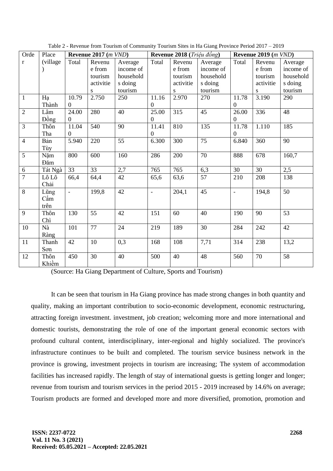| Orde           | Place    | Revenue 2017 (m VND) |           | <b>Revenue 2018</b> ( <i>Triệu đồng</i> ) |                  |           | Revenue 2019 (m VND) |                          |           |           |
|----------------|----------|----------------------|-----------|-------------------------------------------|------------------|-----------|----------------------|--------------------------|-----------|-----------|
| $\mathbf{r}$   | (village | Total                | Revenu    | Average                                   | Total            | Revenu    | Average              | Total                    | Revenu    | Average   |
|                |          |                      | e from    | income of                                 |                  | e from    | income of            |                          | e from    | income of |
|                |          |                      | tourism   | household                                 |                  | tourism   | household            |                          | tourism   | household |
|                |          |                      | activitie | s doing                                   |                  | activitie | s doing              |                          | activitie | s doing   |
|                |          |                      | S         | tourism                                   |                  | S         | tourism              |                          | S         | tourism   |
| $\mathbf{1}$   | Ha       | 10.79                | 2.750     | 250                                       | 11.16            | 2.970     | 270                  | 11.78                    | 3.190     | 290       |
|                | Thành    | $\Omega$             |           |                                           | $\overline{0}$   |           |                      | $\theta$                 |           |           |
| $\overline{2}$ | Lâm      | 24.00                | 280       | 40                                        | 25.00            | 315       | 45                   | 26.00                    | 336       | 48        |
|                | Đồng     | $\overline{0}$       |           |                                           | $\boldsymbol{0}$ |           |                      | $\boldsymbol{0}$         |           |           |
| $\overline{3}$ | Thôn     | 11.04                | 540       | 90                                        | 11.41            | 810       | 135                  | 11.78                    | 1.110     | 185       |
|                | Tha      | $\overline{0}$       |           |                                           | $\boldsymbol{0}$ |           |                      | 0                        |           |           |
| $\overline{4}$ | Bản      | 5.940                | 220       | 55                                        | 6.300            | 300       | 75                   | 6.840                    | 360       | 90        |
|                | Tùy      |                      |           |                                           |                  |           |                      |                          |           |           |
| 5              | Năm      | 800                  | 600       | 160                                       | 286              | 200       | 70                   | 888                      | 678       | 160,7     |
|                | Đăm      |                      |           |                                           |                  |           |                      |                          |           |           |
| $6\,$          | Tát Ngà  | 33                   | 33        | 2,7                                       | 765              | 765       | 6,3                  | 30                       | 30        | 2,5       |
| $\overline{7}$ | Lô Lô    | 66,4                 | 64,4      | 42                                        | 65,6             | 63,6      | 57                   | 210                      | 208       | 138       |
|                | Chải     |                      |           |                                           |                  |           |                      |                          |           |           |
| $\overline{8}$ | Lũng     | $\equiv$             | 199,8     | 42                                        | $\frac{1}{2}$    | 204,1     | 45                   | $\overline{\phantom{a}}$ | 194,8     | 50        |
|                | Cẩm      |                      |           |                                           |                  |           |                      |                          |           |           |
|                | trên     |                      |           |                                           |                  |           |                      |                          |           |           |
| 9              | Thôn     | 130                  | 55        | 42                                        | 151              | 60        | 40                   | 190                      | 90        | 53        |
|                | Chì      |                      |           |                                           |                  |           |                      |                          |           |           |
| 10             | Nà       | 101                  | 77        | 24                                        | 219              | 189       | 30                   | 284                      | 242       | 42        |
|                | Ràng     |                      |           |                                           |                  |           |                      |                          |           |           |
| 11             | Thanh    | 42                   | 10        | 0,3                                       | 168              | 108       | 7,71                 | 314                      | 238       | 13,2      |
|                | Son      |                      |           |                                           |                  |           |                      |                          |           |           |
| 12             | Thôn     | 450                  | 30        | 40                                        | 500              | 40        | 48                   | 560                      | 70        | 58        |
|                | Khiềm    |                      |           |                                           |                  |           |                      |                          |           |           |

Table 2 - Revenue from Tourism of Community Tourism Sites in Ha Giang Province Period 2017 – 2019

(Source: Ha Giang Department of Culture, Sports and Tourism)

It can be seen that tourism in Ha Giang province has made strong changes in both quantity and quality, making an important contribution to socio-economic development, economic restructuring, attracting foreign investment. investment, job creation; welcoming more and more international and domestic tourists, demonstrating the role of one of the important general economic sectors with profound cultural content, interdisciplinary, inter-regional and highly socialized. The province's infrastructure continues to be built and completed. The tourism service business network in the province is growing, investment projects in tourism are increasing; The system of accommodation facilities has increased rapidly. The length of stay of international guests is getting longer and longer; revenue from tourism and tourism services in the period 2015 - 2019 increased by 14.6% on average; Tourism products are formed and developed more and more diversified, promotion, promotion and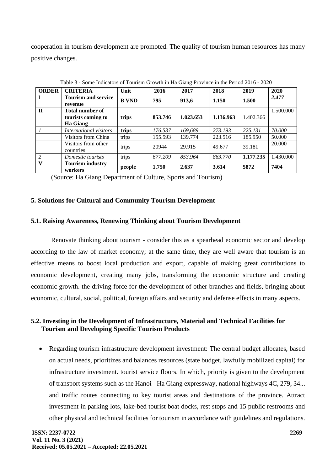cooperation in tourism development are promoted. The quality of tourism human resources has many positive changes.

| bome merchants of Tommin Stown in the Stang Trovince in the Ferrow 2010 $-$ 2020 |                                       |              |         |           |           |           |           |
|----------------------------------------------------------------------------------|---------------------------------------|--------------|---------|-----------|-----------|-----------|-----------|
| <b>ORDER</b>                                                                     | <b>CRITERIA</b>                       | Unit         | 2016    | 2017      | 2018      | 2019      | 2020      |
| I                                                                                | <b>Tourism and service</b><br>revenue | <b>B</b> VND | 795     | 913,6     | 1.150     | 1.500     | 2.477     |
| $\mathbf{H}$                                                                     | <b>Total number of</b>                |              |         |           |           |           | 1.500.000 |
|                                                                                  | tourists coming to                    | trips        | 853.746 | 1.023.653 | 1.136.963 | 1.402.366 |           |
|                                                                                  | Ha Giang                              |              |         |           |           |           |           |
|                                                                                  | International visitors                | trips        | 176.537 | 169,689   | 273.193   | 225.131   | 70.000    |
|                                                                                  | Visitors from China                   | trips        | 155.593 | 139.774   | 223.516   | 185.950   | 50.000    |
|                                                                                  | Visitors from other<br>countries      | trips        | 20944   | 29.915    | 49.677    | 39.181    | 20.000    |
| 2                                                                                | Domestic tourists                     | trips        | 677.209 | 853.964   | 863.770   | 1.177.235 | 1.430.000 |
| V                                                                                | <b>Tourism industry</b><br>workers    | people       | 1.750   | 2.637     | 3.614     | 5872      | 7404      |

Table 3 - Some Indicators of Tourism Growth in Ha Giang Province in the Period 2016 - 2020

(Source: Ha Giang Department of Culture, Sports and Tourism)

### **5. Solutions for Cultural and Community Tourism Development**

# **5.1. Raising Awareness, Renewing Thinking about Tourism Development**

Renovate thinking about tourism - consider this as a spearhead economic sector and develop according to the law of market economy; at the same time, they are well aware that tourism is an effective means to boost local production and export, capable of making great contributions to economic development, creating many jobs, transforming the economic structure and creating economic growth. the driving force for the development of other branches and fields, bringing about economic, cultural, social, political, foreign affairs and security and defense effects in many aspects.

# **5.2. Investing in the Development of Infrastructure, Material and Technical Facilities for Tourism and Developing Specific Tourism Products**

• Regarding tourism infrastructure development investment: The central budget allocates, based on actual needs, prioritizes and balances resources (state budget, lawfully mobilized capital) for infrastructure investment. tourist service floors. In which, priority is given to the development of transport systems such as the Hanoi - Ha Giang expressway, national highways 4C, 279, 34... and traffic routes connecting to key tourist areas and destinations of the province. Attract investment in parking lots, lake-bed tourist boat docks, rest stops and 15 public restrooms and other physical and technical facilities for tourism in accordance with guidelines and regulations.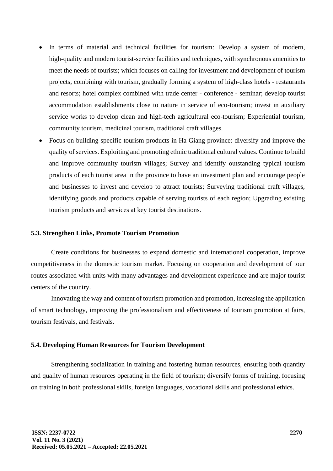- In terms of material and technical facilities for tourism: Develop a system of modern, high-quality and modern tourist-service facilities and techniques, with synchronous amenities to meet the needs of tourists; which focuses on calling for investment and development of tourism projects, combining with tourism, gradually forming a system of high-class hotels - restaurants and resorts; hotel complex combined with trade center - conference - seminar; develop tourist accommodation establishments close to nature in service of eco-tourism; invest in auxiliary service works to develop clean and high-tech agricultural eco-tourism; Experiential tourism, community tourism, medicinal tourism, traditional craft villages.
- Focus on building specific tourism products in Ha Giang province: diversify and improve the quality of services. Exploiting and promoting ethnic traditional cultural values. Continue to build and improve community tourism villages; Survey and identify outstanding typical tourism products of each tourist area in the province to have an investment plan and encourage people and businesses to invest and develop to attract tourists; Surveying traditional craft villages, identifying goods and products capable of serving tourists of each region; Upgrading existing tourism products and services at key tourist destinations.

### **5.3. Strengthen Links, Promote Tourism Promotion**

Create conditions for businesses to expand domestic and international cooperation, improve competitiveness in the domestic tourism market. Focusing on cooperation and development of tour routes associated with units with many advantages and development experience and are major tourist centers of the country.

Innovating the way and content of tourism promotion and promotion, increasing the application of smart technology, improving the professionalism and effectiveness of tourism promotion at fairs, tourism festivals, and festivals.

#### **5.4. Developing Human Resources for Tourism Development**

Strengthening socialization in training and fostering human resources, ensuring both quantity and quality of human resources operating in the field of tourism; diversify forms of training, focusing on training in both professional skills, foreign languages, vocational skills and professional ethics.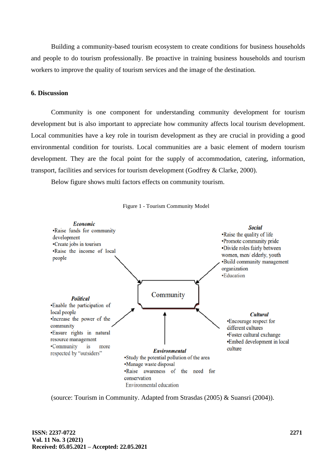Building a community-based tourism ecosystem to create conditions for business households and people to do tourism professionally. Be proactive in training business households and tourism workers to improve the quality of tourism services and the image of the destination.

#### **6. Discussion**

Community is one component for understanding community development for tourism development but is also important to appreciate how community affects local tourism development. Local communities have a key role in tourism development as they are crucial in providing a good environmental condition for tourists. Local communities are a basic element of modern tourism development. They are the focal point for the supply of accommodation, catering, information, transport, facilities and services for tourism development (Godfrey & Clarke, 2000).

Below figure shows multi factors effects on community tourism.



Figure 1 - Tourism Community Model

(source: Tourism in Community. Adapted from Strasdas (2005) & Suansri (2004)).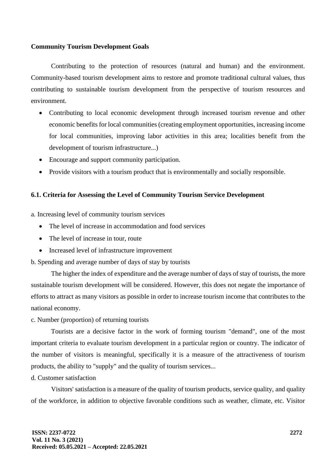### **Community Tourism Development Goals**

Contributing to the protection of resources (natural and human) and the environment. Community-based tourism development aims to restore and promote traditional cultural values, thus contributing to sustainable tourism development from the perspective of tourism resources and environment.

- Contributing to local economic development through increased tourism revenue and other economic benefits for local communities (creating employment opportunities, increasing income for local communities, improving labor activities in this area; localities benefit from the development of tourism infrastructure...)
- Encourage and support community participation.
- Provide visitors with a tourism product that is environmentally and socially responsible.

### **6.1. Criteria for Assessing the Level of Community Tourism Service Development**

a. Increasing level of community tourism services

- The level of increase in accommodation and food services
- The level of increase in tour, route
- Increased level of infrastructure improvement
- b. Spending and average number of days of stay by tourists

The higher the index of expenditure and the average number of days of stay of tourists, the more sustainable tourism development will be considered. However, this does not negate the importance of efforts to attract as many visitors as possible in order to increase tourism income that contributes to the national economy.

c. Number (proportion) of returning tourists

Tourists are a decisive factor in the work of forming tourism "demand", one of the most important criteria to evaluate tourism development in a particular region or country. The indicator of the number of visitors is meaningful, specifically it is a measure of the attractiveness of tourism products, the ability to "supply" and the quality of tourism services...

d. Customer satisfaction

Visitors' satisfaction is a measure of the quality of tourism products, service quality, and quality of the workforce, in addition to objective favorable conditions such as weather, climate, etc. Visitor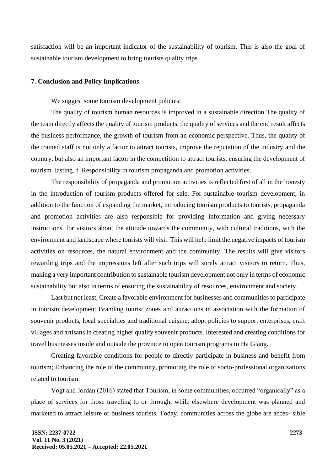satisfaction will be an important indicator of the sustainability of tourism. This is also the goal of sustainable tourism development to bring tourists quality trips.

#### **7. Conclusion and Policy Implications**

We suggest some tourism development policies:

The quality of tourism human resources is improved in a sustainable direction The quality of the team directly affects the quality of tourism products, the quality of services and the end result affects the business performance, the growth of tourism from an economic perspective. Thus, the quality of the trained staff is not only a factor to attract tourists, improve the reputation of the industry and the country, but also an important factor in the competition to attract tourists, ensuring the development of tourism. lasting. f. Responsibility in tourism propaganda and promotion activities.

The responsibility of propaganda and promotion activities is reflected first of all in the honesty in the introduction of tourism products offered for sale. For sustainable tourism development, in addition to the function of expanding the market, introducing tourism products to tourists, propaganda and promotion activities are also responsible for providing information and giving necessary instructions. for visitors about the attitude towards the community, with cultural traditions, with the environment and landscape where tourists will visit. This will help limit the negative impacts of tourism activities on resources, the natural environment and the community. The results will give visitors rewarding trips and the impressions left after such trips will surely attract visitors to return. Thus, making a very important contribution to sustainable tourism development not only in terms of economic sustainability but also in terms of ensuring the sustainability of resources, environment and society.

Last but not least, Create a favorable environment for businesses and communities to participate in tourism development Branding tourist zones and attractions in association with the formation of souvenir products, local specialties and traditional cuisine; adopt policies to support enterprises, craft villages and artisans in creating higher quality souvenir products. Interested and creating conditions for travel businesses inside and outside the province to open tourism programs to Ha Giang.

Creating favorable conditions for people to directly participate in business and benefit from tourism; Enhancing the role of the community, promoting the role of socio-professional organizations related to tourism.

Vogt and Jordan (2016) stated that Tourism, in some communities, occurred "organically" as a place of services for those traveling to or through, while elsewhere development was planned and marketed to attract leisure or business tourists. Today, communities across the globe are acces- sible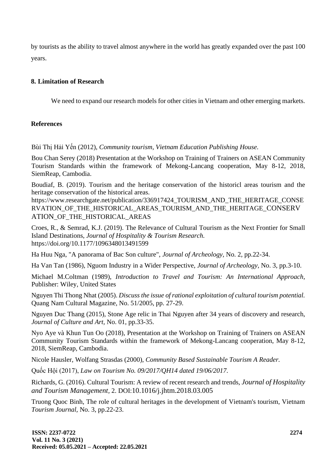by tourists as the ability to travel almost anywhere in the world has greatly expanded over the past 100 years.

# **8. Limitation of Research**

We need to expand our research models for other cities in Vietnam and other emerging markets.

# **References**

Bùi Thị Hải Yến (2012), *Community tourism, Vietnam Education Publishing House.*

Bou Chan Serey (2018) Presentation at the Workshop on Training of Trainers on ASEAN Community Tourism Standards within the framework of Mekong-Lancang cooperation, May 8-12, 2018, SiemReap, Cambodia.

Boudiaf, B. (2019). Tourism and the heritage conservation of the historicl areas tourism and the heritage conservation of the historical areas.

[https://www.researchgate.net/publication/336917424\\_TOURISM\\_AND\\_THE\\_HERITAGE\\_CONSE](https://www.researchgate.net/publication/336917424_TOURISM_AND_THE_HERITAGE_CONSERVATION_OF_THE_HISTORICAL_AREAS_TOURISM_AND_THE_HERITAGE_CONSERVATION_OF_THE_HISTORICAL_AREAS) RVATION OF THE HISTORICAL AREAS TOURISM AND THE HERITAGE CONSERV ATION[\\_OF\\_THE\\_HISTORICAL\\_AREAS](https://www.researchgate.net/publication/336917424_TOURISM_AND_THE_HERITAGE_CONSERVATION_OF_THE_HISTORICAL_AREAS_TOURISM_AND_THE_HERITAGE_CONSERVATION_OF_THE_HISTORICAL_AREAS)

Croes, R., & Semrad, K.J. (2019). The Relevance of Cultural Tourism as the Next Frontier for Small Island Destinations, *Journal of Hospitality & Tourism Research.* <https://doi.org/10.1177/1096348013491599>

Ha Huu Nga, "A panorama of Bac Son culture", *Journal of Archeology,* No. 2, pp.22-34.

Ha Van Tan (1986), Nguom Industry in a Wider Perspective, *Journal of Archeology,* No. 3, pp.3-10.

Michael M.Coltman (1989), *Introduction to Travel and Tourism: An International Approach,* Publisher: Wiley, United States

Nguyen Thi Thong Nhat (2005). *Discuss the issue of rational exploitation of cultural tourism potential.* Quang Nam Cultural Magazine, No. 51/2005, pp. 27-29.

Nguyen Duc Thang (2015), Stone Age relic in Thai Nguyen after 34 years of discovery and research, *Journal of Culture and Art,* No. 01, pp.33-35.

Nyo Aye và Khun Tun Oo (2018), Presentation at the Workshop on Training of Trainers on ASEAN Community Tourism Standards within the framework of Mekong-Lancang cooperation, May 8-12, 2018, SiemReap, Cambodia.

Nicole Hausler, Wolfang Strasdas (2000), *Community Based Sustainable Tourism A Reader.*

Quốc Hội (2017), *Law on Tourism No. 09/2017/QH14 dated 19/06/2017.*

Richards, G. (2016). Cultural Tourism: A review of recent research and trends, *[Journal of Hospitality](https://www.researchgate.net/journal/Journal-of-Hospitality-and-Tourism-Management-1447-6770)  [and Tourism Management](https://www.researchgate.net/journal/Journal-of-Hospitality-and-Tourism-Management-1447-6770),* 2. DOI:[10.1016/j.jhtm.2018.03.005](http://dx.doi.org/10.1016/j.jhtm.2018.03.005)

Truong Quoc Binh, The role of cultural heritages in the development of Vietnam's tourism, Vietnam *Tourism Journal,* No. 3, pp.22-23.